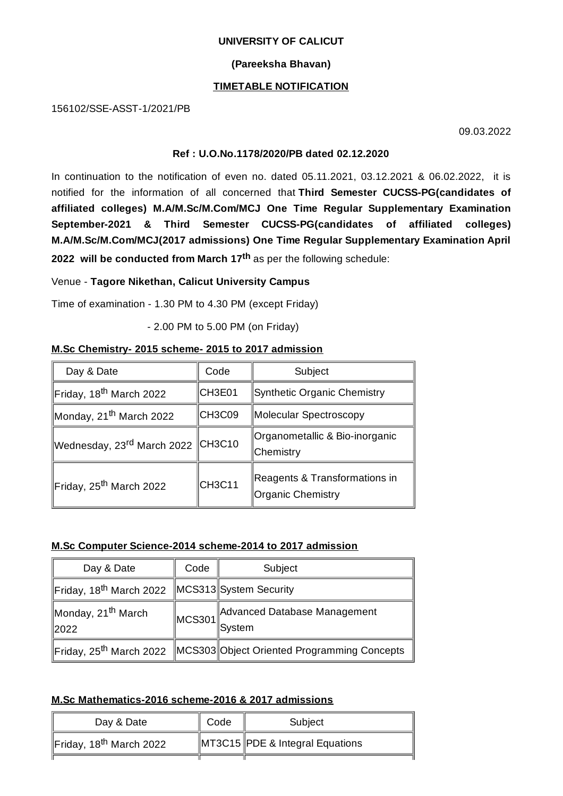#### **UNIVERSITY OF CALICUT**

### **(Pareeksha Bhavan)**

### **TIMETABLE NOTIFICATION**

156102/SSE-ASST-1/2021/PB

09.03.2022

### **Ref : U.O.No.1178/2020/PB dated 02.12.2020**

In continuation to the notification of even no. dated 05.11.2021, 03.12.2021 & 06.02.2022, it is notified for the information of all concerned that **Third Semester CUCSS-PG(candidates of affiliated colleges) M.A/M.Sc/M.Com/MCJ One Time Regular Supplementary Examination September-2021 & Third Semester CUCSS-PG(candidates of affiliated colleges) M.A/M.Sc/M.Com/MCJ(2017 admissions) One Time Regular Supplementary Examination April 2022 will be conducted from March 17 th** as per the following schedule:

## Venue - **Tagore Nikethan, Calicut University Campus**

Time of examination - 1.30 PM to 4.30 PM (except Friday)

- 2.00 PM to 5.00 PM (on Friday)

## **M.Sc Chemistry- 2015 scheme- 2015 to 2017 admission**

| Day & Date                          | Code          | Subject                                            |
|-------------------------------------|---------------|----------------------------------------------------|
| Friday, 18 <sup>th</sup> March 2022 | <b>CH3E01</b> | Synthetic Organic Chemistry                        |
| Monday, 21 <sup>th</sup> March 2022 | CH3C09        | Molecular Spectroscopy                             |
| Wednesday, 23rd March 2022 CH3C10   |               | ∥Organometallic & Bio-inorganic<br>∥Chemistry      |
| Friday, 25 <sup>th</sup> March 2022 | <b>CH3C11</b> | Reagents & Transformations in<br>Organic Chemistry |

# **M.Sc Computer Science-2014 scheme-2014 to 2017 admission**

| Day & Date                                       | Code                           | Subject                                     |
|--------------------------------------------------|--------------------------------|---------------------------------------------|
| Friday, 18 <sup>th</sup> March 2022              |                                | MCS313 System Security                      |
| Monday, 21 <sup>th</sup> March<br>$ 2022\rangle$ | $\parallel$ MCS301 $\parallel$ | Advanced Database Management<br>System      |
| Friday, 25 <sup>th</sup> March 2022              |                                | MCS303 Object Oriented Programming Concepts |

# **M.Sc Mathematics-2016 scheme-2016 & 2017 admissions**

| Day & Date                          | Code | Subject                                     |
|-------------------------------------|------|---------------------------------------------|
| Friday, 18 <sup>th</sup> March 2022 |      | $\parallel$ MT3C15 PDE & Integral Equations |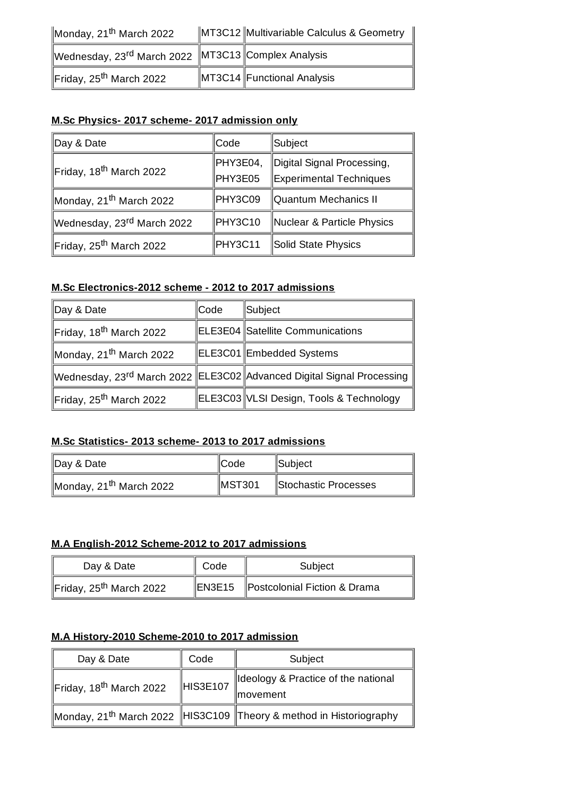| Monday, $21^{\text{th}}$ March 2022                            | MT3C12 Multivariable Calculus & Geometry |
|----------------------------------------------------------------|------------------------------------------|
| Wednesday, 23 <sup>rd</sup> March 2022 MT3C13 Complex Analysis |                                          |
| Friday, 25 <sup>th</sup> March 2022                            | MT3C14 Functional Analysis               |

# **M.Sc Physics- 2017 scheme- 2017 admission only**

| Day & Date                             | Code     | ∥Subject                   |
|----------------------------------------|----------|----------------------------|
| Friday, 18 <sup>th</sup> March 2022    | PHY3E04, | Digital Signal Processing, |
|                                        | PHY3E05  | Experimental Techniques    |
| Monday, 21 <sup>th</sup> March 2022    | PHY3C09  | Quantum Mechanics II       |
| Wednesday, 23 <sup>rd</sup> March 2022 | PHY3C10  | Nuclear & Particle Physics |
| Friday, 25 <sup>th</sup> March 2022    | PHY3C11  | Solid State Physics        |

# **M.Sc Electronics-2012 scheme - 2012 to 2017 admissions**

| Day & Date                          | ∥Code | ∥Subject                                                                          |
|-------------------------------------|-------|-----------------------------------------------------------------------------------|
| Friday, 18 <sup>th</sup> March 2022 |       | ELE3E04 Satellite Communications                                                  |
| Monday, 21 <sup>th</sup> March 2022 |       | ELE3C01 Embedded Systems                                                          |
|                                     |       | Wednesday, 23 <sup>rd</sup> March 2022 ELE3C02 Advanced Digital Signal Processing |
| Friday, 25 <sup>th</sup> March 2022 |       | ELE3C03 VLSI Design, Tools & Technology                                           |

# **M.Sc Statistics- 2013 scheme- 2013 to 2017 admissions**

| Day & Date                          | ∥Code              | <b>Subject</b>       |
|-------------------------------------|--------------------|----------------------|
| Monday, 21 <sup>th</sup> March 2022 | $\parallel$ MST301 | Stochastic Processes |

# **M.A English-2012 Scheme-2012 to 2017 admissions**

| Day & Date                          | Code | Subject                             |
|-------------------------------------|------|-------------------------------------|
| Friday, 25 <sup>th</sup> March 2022 |      | EN3E15 Postcolonial Fiction & Drama |

# **M.A History-2010 Scheme-2010 to 2017 admission**

| Day & Date                          | Code          | Subject                                                                        |
|-------------------------------------|---------------|--------------------------------------------------------------------------------|
| Friday, 18 <sup>th</sup> March 2022 | $\ $ HIS3E107 | ldeology & Practice of the national<br>∥movement                               |
|                                     |               | Monday, 21 <sup>th</sup> March 2022 HIS3C109 Theory & method in Historiography |